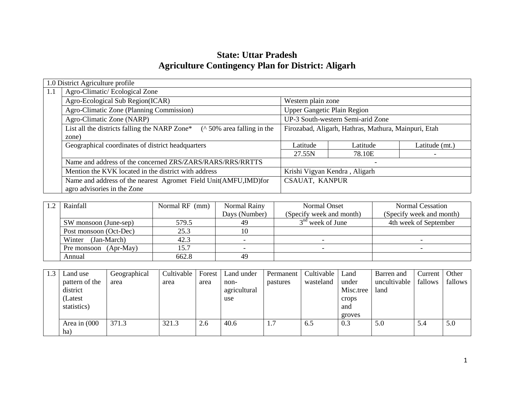# **State: Uttar Pradesh Agriculture Contingency Plan for District: Aligarh**

|     | 1.0 District Agriculture profile                                                |                                                      |                                   |                |  |  |  |  |
|-----|---------------------------------------------------------------------------------|------------------------------------------------------|-----------------------------------|----------------|--|--|--|--|
| 1.1 | Agro-Climatic/Ecological Zone                                                   |                                                      |                                   |                |  |  |  |  |
|     | Agro-Ecological Sub Region(ICAR)                                                | Western plain zone                                   |                                   |                |  |  |  |  |
|     | Agro-Climatic Zone (Planning Commission)                                        | <b>Upper Gangetic Plain Region</b>                   |                                   |                |  |  |  |  |
|     | Agro-Climatic Zone (NARP)                                                       |                                                      | UP-3 South-western Semi-arid Zone |                |  |  |  |  |
|     | List all the districts falling the NARP Zone*<br>$($ \ 50\% area falling in the | Firozabad, Aligarh, Hathras, Mathura, Mainpuri, Etah |                                   |                |  |  |  |  |
|     | zone)                                                                           |                                                      |                                   |                |  |  |  |  |
|     | Geographical coordinates of district headquarters                               | Latitude                                             | Latitude                          | Latitude (mt.) |  |  |  |  |
|     |                                                                                 | 27.55N                                               | 78.10E                            |                |  |  |  |  |
|     | Name and address of the concerned ZRS/ZARS/RARS/RRS/RRTTS                       |                                                      |                                   |                |  |  |  |  |
|     | Mention the KVK located in the district with address                            | Krishi Vigyan Kendra, Aligarh                        |                                   |                |  |  |  |  |
|     | Name and address of the nearest Agromet Field Unit(AMFU,IMD)for                 | CSAUAT, KANPUR                                       |                                   |                |  |  |  |  |
|     | agro advisories in the Zone                                                     |                                                      |                                   |                |  |  |  |  |

| $\sqrt{2}$ | Rainfall                   | Normal RF (mm) | Normal Rainy  | Normal Onset             | Normal Cessation         |
|------------|----------------------------|----------------|---------------|--------------------------|--------------------------|
|            |                            |                | Days (Number) | (Specify week and month) | (Specify week and month) |
|            | SW monsoon (June-sep)      | 579.5          | 49            | $3nd$ week of June       | 4th week of September    |
|            | Post monsoon (Oct-Dec)     | 25.3           |               |                          |                          |
|            | (Jan-March)<br>Winter      | 42.3           |               |                          |                          |
|            | $(Apr-May)$<br>Pre monsoon | 15.7           |               |                          |                          |
|            | Annual                     | 662.8          | 49            |                          |                          |

| 1.3 | Land use       | Geographical | Cultivable | Forest | Land under   | Permanent | Cultivable | Land      | Barren and   | Current | Other   |
|-----|----------------|--------------|------------|--------|--------------|-----------|------------|-----------|--------------|---------|---------|
|     | pattern of the | area         | area       | area   | non-         | pastures  | wasteland  | under     | uncultivable | fallows | fallows |
|     | district       |              |            |        | agricultural |           |            | Misc.tree | land         |         |         |
|     | (Latest)       |              |            |        | use          |           |            | crops     |              |         |         |
|     | statistics)    |              |            |        |              |           |            | and       |              |         |         |
|     |                |              |            |        |              |           |            | groves    |              |         |         |
|     | Area in (000   | 371.3        | 321.3      | 2.6    | 40.6         | 1.7       | 6.5        | 0.3       | 5.0          | 5.4     | 5.0     |
|     | ha)            |              |            |        |              |           |            |           |              |         |         |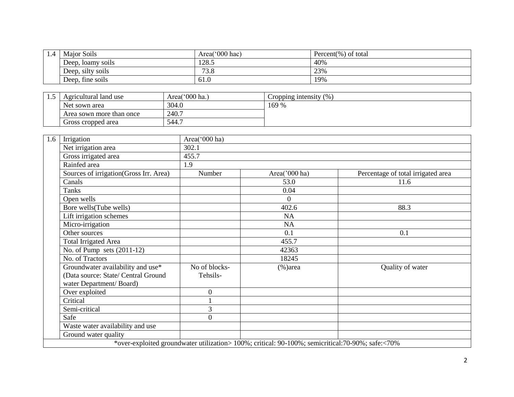| 1.4 | <b>Major Soils</b> | Area('000 hac) | Percent $(\%)$ of total |
|-----|--------------------|----------------|-------------------------|
|     | Deep, loamy soils  | 128.5          | 40%                     |
|     | Deep, silty soils  | 73.8           | 23%                     |
|     | Deep, fine soils   | 61.0           | 19%                     |

| 1.J | Agricultural land use    | Area('000 ha.) | Cropping intensity $(\%)$ |
|-----|--------------------------|----------------|---------------------------|
|     | Net sown area            | 304.0          | 169 %                     |
|     | Area sown more than once | 240.7          |                           |
|     | Gross cropped area       | 544.           |                           |

| 1.6 | Irrigation                                                                                          | Area('000 ha)             |                                                                                                  |                                    |
|-----|-----------------------------------------------------------------------------------------------------|---------------------------|--------------------------------------------------------------------------------------------------|------------------------------------|
|     | Net irrigation area                                                                                 | 302.1                     |                                                                                                  |                                    |
|     | Gross irrigated area                                                                                | 455.7                     |                                                                                                  |                                    |
|     | Rainfed area                                                                                        | 1.9                       |                                                                                                  |                                    |
|     | Sources of irrigation(Gross Irr. Area)                                                              | Number                    | Area('000 ha)                                                                                    | Percentage of total irrigated area |
|     | Canals                                                                                              |                           | 53.0                                                                                             | 11.6                               |
|     | <b>Tanks</b>                                                                                        |                           | 0.04                                                                                             |                                    |
|     | Open wells                                                                                          |                           | $\overline{0}$                                                                                   |                                    |
|     | Bore wells (Tube wells)                                                                             |                           | 402.6                                                                                            | 88.3                               |
|     | Lift irrigation schemes                                                                             |                           | NA                                                                                               |                                    |
|     | Micro-irrigation                                                                                    |                           | <b>NA</b>                                                                                        |                                    |
|     | Other sources                                                                                       |                           | 0.1                                                                                              | 0.1                                |
|     | <b>Total Irrigated Area</b>                                                                         |                           | 455.7                                                                                            |                                    |
|     | No. of Pump sets $(2011-12)$                                                                        |                           | 42363                                                                                            |                                    |
|     | No. of Tractors                                                                                     |                           | 18245                                                                                            |                                    |
|     | Groundwater availability and use*<br>(Data source: State/ Central Ground<br>water Department/Board) | No of blocks-<br>Tehsils- | $(\% )$ area                                                                                     | Quality of water                   |
|     | Over exploited                                                                                      | $\overline{0}$            |                                                                                                  |                                    |
|     | Critical                                                                                            |                           |                                                                                                  |                                    |
|     | Semi-critical                                                                                       | 3                         |                                                                                                  |                                    |
|     | Safe                                                                                                | $\theta$                  |                                                                                                  |                                    |
|     | Waste water availability and use                                                                    |                           |                                                                                                  |                                    |
|     | Ground water quality                                                                                |                           |                                                                                                  |                                    |
|     |                                                                                                     |                           | *over-exploited groundwater utilization> 100%; critical: 90-100%; semicritical:70-90%; safe:<70% |                                    |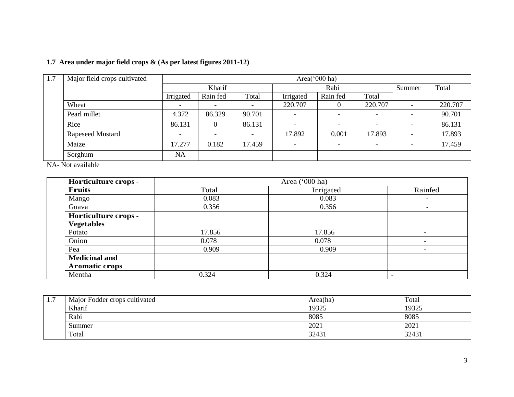|  | 1.7 Area under major field crops & (As per latest figures 2011-12) |  |  |  |  |  |
|--|--------------------------------------------------------------------|--|--|--|--|--|
|--|--------------------------------------------------------------------|--|--|--|--|--|

| 1.7 | Major field crops cultivated | Area('000 ha) |          |                          |                          |                          |                          |                          |         |
|-----|------------------------------|---------------|----------|--------------------------|--------------------------|--------------------------|--------------------------|--------------------------|---------|
|     |                              |               | Kharif   |                          | Rabi                     |                          |                          | Summer                   | Total   |
|     |                              | Irrigated     | Rain fed | Total                    | Irrigated                | Rain fed                 | Total                    |                          |         |
|     | Wheat                        |               | -        | $\overline{\phantom{0}}$ | 220.707                  | $\theta$                 | 220.707                  | $\overline{\phantom{a}}$ | 220.707 |
|     | Pearl millet                 | 4.372         | 86.329   | 90.701                   | $\overline{\phantom{0}}$ | $\overline{\phantom{0}}$ | $\overline{\phantom{0}}$ | $\overline{\phantom{a}}$ | 90.701  |
|     | Rice                         | 86.131        |          | 86.131                   |                          | $\overline{\phantom{a}}$ | $\overline{\phantom{a}}$ |                          | 86.131  |
|     | <b>Rapeseed Mustard</b>      |               |          | $\overline{\phantom{a}}$ | 17.892                   | 0.001                    | 17.893                   | $\overline{\phantom{a}}$ | 17.893  |
|     | Maize                        | 17.277        | 0.182    | 17.459                   |                          | $\overline{\phantom{0}}$ | $\overline{\phantom{0}}$ | $\overline{\phantom{a}}$ | 17.459  |
|     | Sorghum                      | <b>NA</b>     |          |                          |                          |                          |                          |                          |         |

NA- Not available

| Horticulture crops - |        | Area ('000 ha) |                          |  |
|----------------------|--------|----------------|--------------------------|--|
| Fruits               | Total  | Irrigated      | Rainfed                  |  |
| Mango                | 0.083  | 0.083          | $\overline{\phantom{0}}$ |  |
| Guava                | 0.356  | 0.356          | ۰                        |  |
| Horticulture crops - |        |                |                          |  |
| <b>Vegetables</b>    |        |                |                          |  |
| Potato               | 17.856 | 17.856         | $\overline{\phantom{0}}$ |  |
| Onion                | 0.078  | 0.078          | $\overline{\phantom{a}}$ |  |
| Pea                  | 0.909  | 0.909          | $\overline{\phantom{a}}$ |  |
| <b>Medicinal and</b> |        |                |                          |  |
| Aromatic crops       |        |                |                          |  |
| Mentha               | 0.324  | 0.324          |                          |  |

| . | Major Fodder crops cultivated | Area(ha) | Total |
|---|-------------------------------|----------|-------|
|   | Kharif                        | 19325    | 19325 |
|   | Rabi                          | 8085     | 8085  |
|   | Summer                        | 2021     | 2021  |
|   | Total                         | 32431    | 32431 |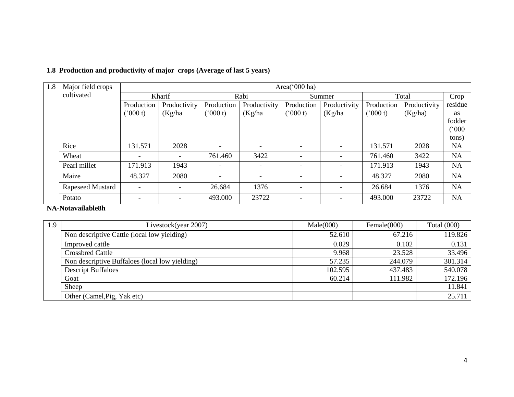# **1.8 Production and productivity of major crops (Average of last 5 years)**

| 1.8 | Major field crops | Area( $000$ ha)          |              |            |                          |                          |                          |               |              |           |
|-----|-------------------|--------------------------|--------------|------------|--------------------------|--------------------------|--------------------------|---------------|--------------|-----------|
|     | cultivated        |                          | Kharif       |            | Rabi                     |                          | Summer                   |               | Total        |           |
|     |                   | Production               | Productivity | Production | Productivity             | Production               | Productivity             | Production    | Productivity | residue   |
|     |                   | (000 t)                  | (Kg/ha)      | (000 t)    | (Kg/ha)                  | $(^{6}000 t)$            | (Kg/ha)                  | $(^{o}000 t)$ | (Kg/ha)      | as        |
|     |                   |                          |              |            |                          |                          |                          |               |              | fodder    |
|     |                   |                          |              |            |                          |                          |                          |               |              | (°000)    |
|     |                   |                          |              |            |                          |                          |                          |               |              | tons)     |
|     | Rice              | 131.571                  | 2028         |            |                          | $\overline{\phantom{0}}$ | $\overline{\phantom{a}}$ | 131.571       | 2028         | <b>NA</b> |
|     | Wheat             | $\overline{\phantom{a}}$ |              | 761.460    | 3422                     | $\overline{\phantom{a}}$ | $\overline{\phantom{a}}$ | 761.460       | 3422         | <b>NA</b> |
|     | Pearl millet      | 171.913                  | 1943         |            | $\overline{\phantom{a}}$ | $\overline{\phantom{0}}$ | $\overline{\phantom{a}}$ | 171.913       | 1943         | <b>NA</b> |
|     | Maize             | 48.327                   | 2080         |            | $\overline{\phantom{0}}$ | $\overline{\phantom{0}}$ | $\overline{\phantom{a}}$ | 48.327        | 2080         | <b>NA</b> |
|     | Rapeseed Mustard  | $\overline{\phantom{a}}$ |              | 26.684     | 1376                     | $\overline{\phantom{0}}$ | $\overline{\phantom{a}}$ | 26.684        | 1376         | <b>NA</b> |
|     | Potato            | $\overline{\phantom{0}}$ |              | 493.000    | 23722                    |                          |                          | 493.000       | 23722        | <b>NA</b> |

**NA-Notavailable8h**

| 1.9 | Livestock(year 2007)                           | Male(000) | Female(000) | Total $(000)$ |
|-----|------------------------------------------------|-----------|-------------|---------------|
|     | Non descriptive Cattle (local low yielding)    | 52.610    | 67.216      | 119.826       |
|     | Improved cattle                                | 0.029     | 0.102       | 0.131         |
|     | <b>Crossbred Cattle</b>                        | 9.968     | 23.528      | 33.496        |
|     | Non descriptive Buffaloes (local low yielding) | 57.235    | 244.079     | 301.314       |
|     | <b>Descript Buffaloes</b>                      | 102.595   | 437.483     | 540.078       |
|     | Goat                                           | 60.214    | 111.982     | 172.196       |
|     | Sheep                                          |           |             | 11.841        |
|     | Other (Camel, Pig, Yak etc)                    |           |             | 25.711        |
|     |                                                |           |             |               |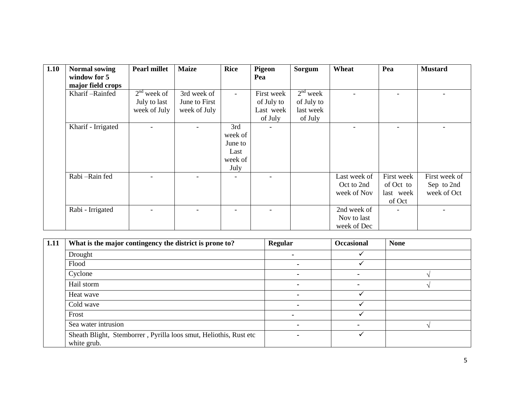| 1.10 | <b>Normal sowing</b> | <b>Pearl millet</b> | <b>Maize</b>  | <b>Rice</b>    | Pigeon     | Sorgum     | Wheat        | Pea        | <b>Mustard</b> |
|------|----------------------|---------------------|---------------|----------------|------------|------------|--------------|------------|----------------|
|      | window for 5         |                     |               |                | Pea        |            |              |            |                |
|      | major field crops    |                     |               |                |            |            |              |            |                |
|      | Kharif-Rainfed       | $2nd$ week of       | 3rd week of   | $\blacksquare$ | First week | $2nd$ week |              |            |                |
|      |                      | July to last        | June to First |                | of July to | of July to |              |            |                |
|      |                      | week of July        | week of July  |                | Last week  | last week  |              |            |                |
|      |                      |                     |               |                | of July    | of July    |              |            |                |
|      | Kharif - Irrigated   |                     |               | 3rd            |            |            |              |            |                |
|      |                      |                     |               | week of        |            |            |              |            |                |
|      |                      |                     |               | June to        |            |            |              |            |                |
|      |                      |                     |               | Last           |            |            |              |            |                |
|      |                      |                     |               | week of        |            |            |              |            |                |
|      |                      |                     |               | July           |            |            |              |            |                |
|      | Rabi-Rain fed        |                     |               |                |            |            | Last week of | First week | First week of  |
|      |                      |                     |               |                |            |            | Oct to 2nd   | of Oct to  | Sep to 2nd     |
|      |                      |                     |               |                |            |            | week of Nov  | last week  | week of Oct    |
|      |                      |                     |               |                |            |            |              | of Oct     |                |
|      | Rabi - Irrigated     |                     |               |                |            |            | 2nd week of  |            |                |
|      |                      |                     |               |                |            |            | Nov to last  |            |                |
|      |                      |                     |               |                |            |            | week of Dec  |            |                |

| 1.11 | What is the major contingency the district is prone to?                          | Regular                  | <b>Occasional</b> | <b>None</b> |
|------|----------------------------------------------------------------------------------|--------------------------|-------------------|-------------|
|      | Drought                                                                          | ۰.                       |                   |             |
|      | Flood                                                                            |                          |                   |             |
|      | Cyclone                                                                          |                          |                   |             |
|      | Hail storm                                                                       |                          | -                 |             |
|      | Heat wave                                                                        | $\overline{\phantom{0}}$ |                   |             |
|      | Cold wave                                                                        |                          |                   |             |
|      | Frost                                                                            | -                        |                   |             |
|      | Sea water intrusion                                                              | -                        | -                 |             |
|      | Sheath Blight, Stemborrer, Pyrilla loos smut, Heliothis, Rust etc<br>white grub. |                          |                   |             |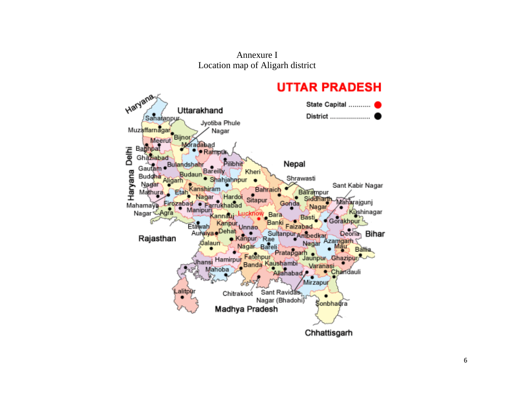Annexure I Location map of Aligarh district

# **UTTAR PRADESH**

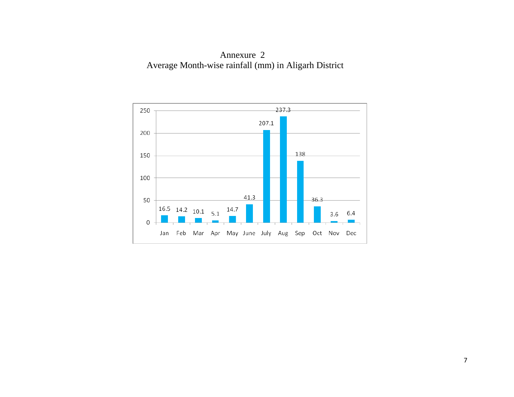Annexure 2 Average Month-wise rainfall (mm) in Aligarh District

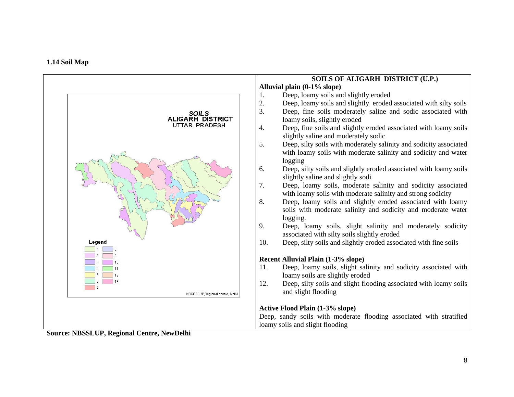

**Source: NBSSLUP, Regional Centre, NewDelhi**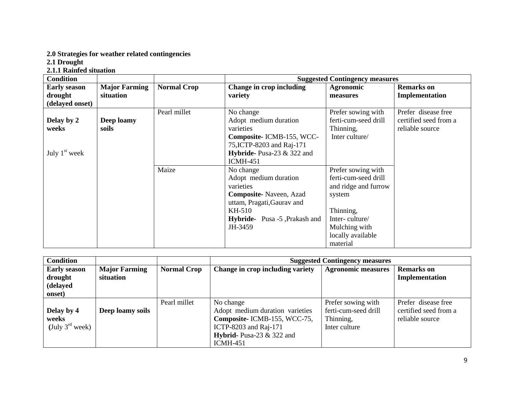#### **2.0 Strategies for weather related contingencies**

**2.1 Drought** 

**2.1.1 Rainfed situation**

| <b>Condition</b>    |                      |                    |                                      | <b>Suggested Contingency measures</b> |                       |
|---------------------|----------------------|--------------------|--------------------------------------|---------------------------------------|-----------------------|
| <b>Early season</b> | <b>Major Farming</b> | <b>Normal Crop</b> | Change in crop including             | <b>Agronomic</b>                      | <b>Remarks</b> on     |
| drought             | situation            |                    | variety                              | measures                              | Implementation        |
| (delayed onset)     |                      |                    |                                      |                                       |                       |
|                     |                      | Pearl millet       | No change                            | Prefer sowing with                    | Prefer disease free   |
| Delay by 2          | Deep loamy           |                    | Adopt medium duration                | ferti-cum-seed drill                  | certified seed from a |
| weeks               | soils                |                    | varieties                            | Thinning,                             | reliable source       |
|                     |                      |                    | Composite-ICMB-155, WCC-             | Inter culture/                        |                       |
|                     |                      |                    | 75, ICTP-8203 and Raj-171            |                                       |                       |
| July $1st$ week     |                      |                    | Hybride-Pusa-23 & 322 and            |                                       |                       |
|                     |                      |                    | <b>ICMH-451</b>                      |                                       |                       |
|                     |                      | Maize              | No change                            | Prefer sowing with                    |                       |
|                     |                      |                    | Adopt medium duration                | ferti-cum-seed drill                  |                       |
|                     |                      |                    | varieties                            | and ridge and furrow                  |                       |
|                     |                      |                    | <b>Composite-</b> Naveen, Azad       | system                                |                       |
|                     |                      |                    | uttam, Pragati, Gaurav and           |                                       |                       |
|                     |                      |                    | KH-510                               | Thinning,                             |                       |
|                     |                      |                    | <b>Hybride-</b> Pusa -5, Prakash and | Inter-culture/                        |                       |
|                     |                      |                    | JH-3459                              | Mulching with                         |                       |
|                     |                      |                    |                                      | locally available                     |                       |
|                     |                      |                    |                                      | material                              |                       |

| <b>Condition</b>                                     |                                   |                    | <b>Suggested Contingency measures</b>                                                                                                                  |                                                                          |                                                                 |  |
|------------------------------------------------------|-----------------------------------|--------------------|--------------------------------------------------------------------------------------------------------------------------------------------------------|--------------------------------------------------------------------------|-----------------------------------------------------------------|--|
| <b>Early season</b><br>drought<br>(delayed<br>onset) | <b>Major Farming</b><br>situation | <b>Normal Crop</b> | Change in crop including variety                                                                                                                       | <b>Agronomic measures</b>                                                | <b>Remarks</b> on<br>Implementation                             |  |
| Delay by 4<br>weeks<br>(July $3^{\text{rd}}$ week)   | Deep loamy soils                  | Pearl millet       | No change<br>Adopt medium duration varieties<br>Composite-ICMB-155, WCC-75,<br>ICTP-8203 and Raj-171<br>Hybrid- Pusa-23 $&$ 322 and<br><b>ICMH-451</b> | Prefer sowing with<br>ferti-cum-seed drill<br>Thinning,<br>Inter culture | Prefer disease free<br>certified seed from a<br>reliable source |  |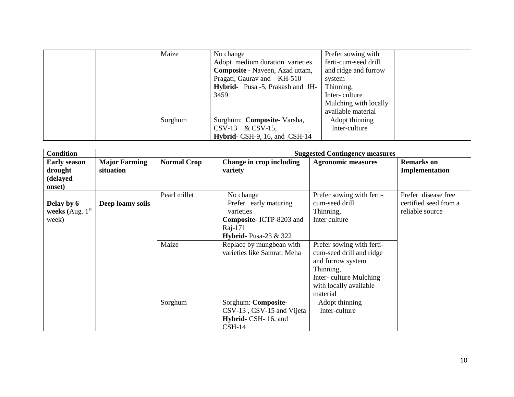|  | Maize   | No change                              | Prefer sowing with    |  |
|--|---------|----------------------------------------|-----------------------|--|
|  |         | Adopt medium duration varieties        | ferti-cum-seed drill  |  |
|  |         | <b>Composite - Naveen, Azad uttam,</b> | and ridge and furrow  |  |
|  |         | Pragati, Gauray and KH-510             | system                |  |
|  |         | Hybrid- Pusa -5, Prakash and JH-       | Thinning,             |  |
|  |         | 3459                                   | Inter-culture         |  |
|  |         |                                        | Mulching with locally |  |
|  |         |                                        | available material    |  |
|  | Sorghum | Sorghum: Composite-Varsha,             | Adopt thinning        |  |
|  |         | $CSV-13 \& CSV-15$ ,                   | Inter-culture         |  |
|  |         | Hybrid- CSH-9, 16, and CSH-14          |                       |  |

| <b>Condition</b>                                     |                                   |                       |                                                                                                                                                                                    | <b>Suggested Contingency measures</b>                                                                                                                                                                                                |                                                                 |
|------------------------------------------------------|-----------------------------------|-----------------------|------------------------------------------------------------------------------------------------------------------------------------------------------------------------------------|--------------------------------------------------------------------------------------------------------------------------------------------------------------------------------------------------------------------------------------|-----------------------------------------------------------------|
| <b>Early season</b><br>drought<br>(delayed<br>onset) | <b>Major Farming</b><br>situation | <b>Normal Crop</b>    | Change in crop including<br>variety                                                                                                                                                | <b>Agronomic measures</b>                                                                                                                                                                                                            | <b>Remarks</b> on<br>Implementation                             |
| Delay by 6<br>weeks (Aug. $1st$<br>week)             | Deep loamy soils                  | Pearl millet<br>Maize | No change<br>Prefer early maturing<br>varieties<br>Composite-ICTP-8203 and<br>Raj-171<br><b>Hybrid-</b> Pusa-23 $&$ 322<br>Replace by mungbean with<br>varieties like Samrat, Meha | Prefer sowing with ferti-<br>cum-seed drill<br>Thinning,<br>Inter culture<br>Prefer sowing with ferti-<br>cum-seed drill and ridge<br>and furrow system<br>Thinning,<br>Inter-culture Mulching<br>with locally available<br>material | Prefer disease free<br>certified seed from a<br>reliable source |
|                                                      |                                   | Sorghum               | Sorghum: Composite-<br>CSV-13, CSV-15 and Vijeta<br>Hybrid- CSH-16, and<br>$CSH-14$                                                                                                | Adopt thinning<br>Inter-culture                                                                                                                                                                                                      |                                                                 |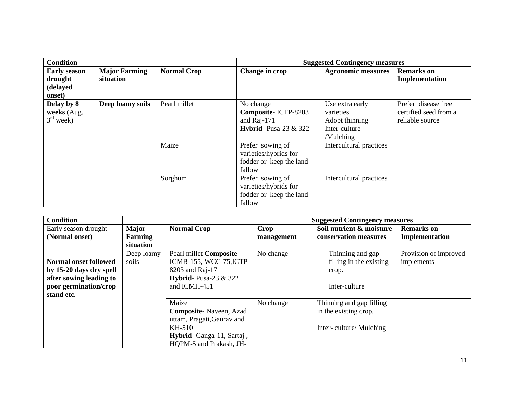| <b>Condition</b>    |                      |                    |                              | <b>Suggested Contingency measures</b> |                       |
|---------------------|----------------------|--------------------|------------------------------|---------------------------------------|-----------------------|
| <b>Early season</b> | <b>Major Farming</b> | <b>Normal Crop</b> | Change in crop               | <b>Agronomic measures</b>             | <b>Remarks</b> on     |
| drought             | situation            |                    |                              |                                       | Implementation        |
| (delayed            |                      |                    |                              |                                       |                       |
| onset)              |                      |                    |                              |                                       |                       |
| Delay by 8          | Deep loamy soils     | Pearl millet       | No change                    | Use extra early                       | Prefer disease free   |
| weeks (Aug.         |                      |                    | Composite-ICTP-8203          | varieties                             | certified seed from a |
| $3rd$ week)         |                      |                    | and $\text{Raj-171}$         | Adopt thinning                        | reliable source       |
|                     |                      |                    | <b>Hybrid-</b> Pusa-23 & 322 | Inter-culture                         |                       |
|                     |                      |                    |                              | /Mulching                             |                       |
|                     |                      | Maize              | Prefer sowing of             | Intercultural practices               |                       |
|                     |                      |                    | varieties/hybrids for        |                                       |                       |
|                     |                      |                    | fodder or keep the land      |                                       |                       |
|                     |                      |                    | fallow                       |                                       |                       |
|                     |                      | Sorghum            | Prefer sowing of             | Intercultural practices               |                       |
|                     |                      |                    | varieties/hybrids for        |                                       |                       |
|                     |                      |                    | fodder or keep the land      |                                       |                       |
|                     |                      |                    | fallow                       |                                       |                       |

| <b>Condition</b>                                                                                                   |                                      |                                                                                                                                        |                    | <b>Suggested Contingency measures</b>                                       |                                     |
|--------------------------------------------------------------------------------------------------------------------|--------------------------------------|----------------------------------------------------------------------------------------------------------------------------------------|--------------------|-----------------------------------------------------------------------------|-------------------------------------|
| Early season drought<br>(Normal onset)                                                                             | <b>Major</b><br>Farming<br>situation | <b>Normal Crop</b>                                                                                                                     | Crop<br>management | Soil nutrient & moisture<br>conservation measures                           | <b>Remarks</b> on<br>Implementation |
| Normal onset followed<br>by 15-20 days dry spell<br>after sowing leading to<br>poor germination/crop<br>stand etc. | Deep loamy<br>soils                  | Pearl millet Composite-<br>ICMB-155, WCC-75, ICTP-<br>8203 and Raj-171<br><b>Hybrid-</b> Pusa-23 $\&$ 322<br>and ICMH-451              | No change          | Thinning and gap<br>filling in the existing<br>crop.<br>Inter-culture       | Provision of improved<br>implements |
|                                                                                                                    |                                      | Maize<br><b>Composite-</b> Naveen, Azad<br>uttam, Pragati, Gaurav and<br>KH-510<br>Hybrid-Ganga-11, Sartaj,<br>HOPM-5 and Prakash, JH- | No change          | Thinning and gap filling<br>in the existing crop.<br>Inter-culture/Mulching |                                     |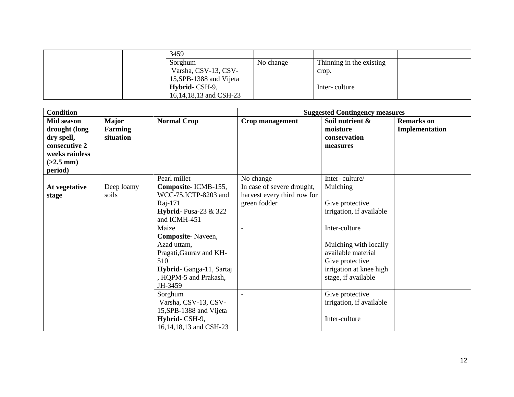| 3459                    |           |                          |  |
|-------------------------|-----------|--------------------------|--|
| Sorghum                 | No change | Thinning in the existing |  |
| Varsha, CSV-13, CSV-    |           | crop.                    |  |
| 15, SPB-1388 and Vijeta |           |                          |  |
| Hybrid-CSH-9,           |           | Inter-culture            |  |
| 16,14,18,13 and CSH-23  |           |                          |  |

| <b>Condition</b>                                                                                              |                                             |                                                                                                                                   | <b>Suggested Contingency measures</b>                                                  |                                                                                                                                   |                                     |
|---------------------------------------------------------------------------------------------------------------|---------------------------------------------|-----------------------------------------------------------------------------------------------------------------------------------|----------------------------------------------------------------------------------------|-----------------------------------------------------------------------------------------------------------------------------------|-------------------------------------|
| <b>Mid season</b><br>drought (long<br>dry spell,<br>consecutive 2<br>weeks rainless<br>$(>2.5$ mm)<br>period) | <b>Major</b><br><b>Farming</b><br>situation | <b>Normal Crop</b>                                                                                                                | Crop management                                                                        | Soil nutrient &<br>moisture<br>conservation<br>measures                                                                           | <b>Remarks</b> on<br>Implementation |
| At vegetative<br>stage                                                                                        | Deep loamy<br>soils                         | Pearl millet<br>Composite-ICMB-155,<br>WCC-75, ICTP-8203 and<br>Raj-171<br>Hybrid-Pusa-23 $&$ 322<br>and ICMH-451<br>Maize        | No change<br>In case of severe drought,<br>harvest every third row for<br>green fodder | Inter-culture/<br>Mulching<br>Give protective<br>irrigation, if available                                                         |                                     |
|                                                                                                               |                                             | Composite-Naveen,<br>Azad uttam,<br>Pragati, Gaurav and KH-<br>510<br>Hybrid-Ganga-11, Sartaj<br>, HQPM-5 and Prakash,<br>JH-3459 | $\blacksquare$                                                                         | Inter-culture<br>Mulching with locally<br>available material<br>Give protective<br>irrigation at knee high<br>stage, if available |                                     |
|                                                                                                               |                                             | Sorghum<br>Varsha, CSV-13, CSV-<br>15, SPB-1388 and Vijeta<br>Hybrid-CSH-9,<br>16,14,18,13 and CSH-23                             |                                                                                        | Give protective<br>irrigation, if available<br>Inter-culture                                                                      |                                     |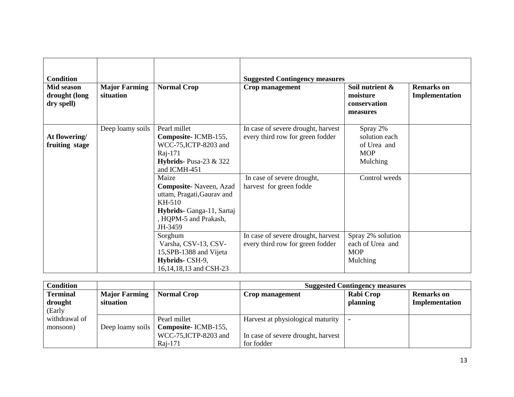| <b>Condition</b><br>Mid season<br>drought (long<br>dry spell) | <b>Major Farming</b><br>situation | <b>Normal Crop</b>                                                                                                                              | <b>Suggested Contingency measures</b><br><b>Crop management</b>        | Soil nutrient &<br>moisture<br>conservation<br>measures            | <b>Remarks</b> on<br>Implementation |
|---------------------------------------------------------------|-----------------------------------|-------------------------------------------------------------------------------------------------------------------------------------------------|------------------------------------------------------------------------|--------------------------------------------------------------------|-------------------------------------|
| At flowering/<br>fruiting stage                               | Deep loamy soils                  | Pearl millet<br>Composite-ICMB-155,<br>WCC-75, ICTP-8203 and<br>Raj-171<br>Hybrids-Pusa-23 $&$ 322<br>and ICMH-451                              | In case of severe drought, harvest<br>every third row for green fodder | Spray 2%<br>solution each<br>of Urea and<br><b>MOP</b><br>Mulching |                                     |
|                                                               |                                   | Maize<br><b>Composite-Naveen, Azad</b><br>uttam, Pragati, Gaurav and<br>KH-510<br>Hybrids- Ganga-11, Sartaj<br>, HQPM-5 and Prakash,<br>JH-3459 | In case of severe drought,<br>harvest for green fodde                  | Control weeds                                                      |                                     |
|                                                               |                                   | Sorghum<br>Varsha, CSV-13, CSV-<br>15, SPB-1388 and Vijeta<br>Hybrids-CSH-9,<br>16,14,18,13 and CSH-23                                          | In case of severe drought, harvest<br>every third row for green fodder | Spray 2% solution<br>each of Urea and<br><b>MOP</b><br>Mulching    |                                     |

| Condition       |                      |                                         | <b>Suggested Contingency measures</b> |           |                   |  |
|-----------------|----------------------|-----------------------------------------|---------------------------------------|-----------|-------------------|--|
| <b>Terminal</b> | <b>Major Farming</b> | <b>Normal Crop</b>                      | Crop management                       | Rabi Crop | <b>Remarks</b> on |  |
| drought         | situation            |                                         |                                       | planning  | Implementation    |  |
| (Early          |                      |                                         |                                       |           |                   |  |
| withdrawal of   |                      | Pearl millet                            | Harvest at physiological maturity     |           |                   |  |
| monsoon)        |                      | Deep loamy soils   Composite- ICMB-155, |                                       |           |                   |  |
|                 |                      | WCC-75, ICTP-8203 and                   | In case of severe drought, harvest    |           |                   |  |
|                 |                      | Raj-171                                 | for fodder                            |           |                   |  |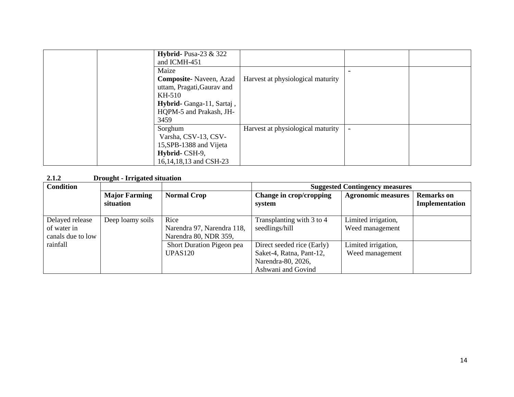| Hybrid-Pusa-23 $&$ 322<br>and ICMH-451 |                                   |  |
|----------------------------------------|-----------------------------------|--|
| Maize                                  |                                   |  |
| <b>Composite-</b> Naveen, Azad         | Harvest at physiological maturity |  |
| uttam, Pragati, Gaurav and             |                                   |  |
| KH-510                                 |                                   |  |
| Hybrid-Ganga-11, Sartaj,               |                                   |  |
| HQPM-5 and Prakash, JH-                |                                   |  |
| 3459                                   |                                   |  |
| Sorghum                                | Harvest at physiological maturity |  |
| Varsha, CSV-13, CSV-                   |                                   |  |
| 15, SPB-1388 and Vijeta                |                                   |  |
| Hybrid-CSH-9,                          |                                   |  |
| 16,14,18,13 and CSH-23                 |                                   |  |

## **2.1.2 Drought - Irrigated situation**

| <b>Condition</b>                                    |                                   |                                                             | <b>Suggested Contingency measures</b>                                                              |                                        |                                     |
|-----------------------------------------------------|-----------------------------------|-------------------------------------------------------------|----------------------------------------------------------------------------------------------------|----------------------------------------|-------------------------------------|
|                                                     | <b>Major Farming</b><br>situation | <b>Normal Crop</b>                                          | Change in crop/cropping<br>system                                                                  | <b>Agronomic measures</b>              | <b>Remarks</b> on<br>Implementation |
| Delayed release<br>of water in<br>canals due to low | Deep loamy soils                  | Rice<br>Narendra 97, Narendra 118,<br>Narendra 80, NDR 359, | Transplanting with 3 to 4<br>seedlings/hill                                                        | Limited irrigation,<br>Weed management |                                     |
| rainfall                                            |                                   | Short Duration Pigeon pea<br><b>UPAS120</b>                 | Direct seeded rice (Early)<br>Saket-4, Ratna, Pant-12,<br>Narendra-80, 2026,<br>Ashwani and Govind | Limited irrigation,<br>Weed management |                                     |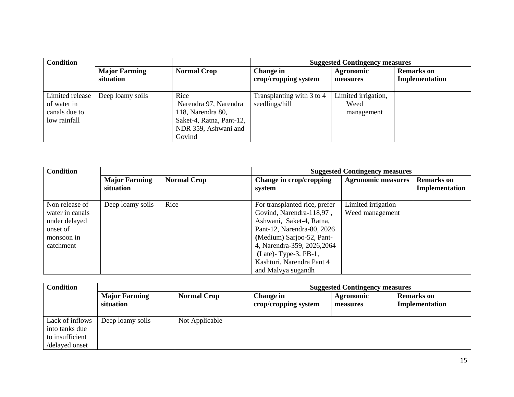| <b>Condition</b>                                                |                      |                                                                                                                  | <b>Suggested Contingency measures</b>       |                                           |                   |
|-----------------------------------------------------------------|----------------------|------------------------------------------------------------------------------------------------------------------|---------------------------------------------|-------------------------------------------|-------------------|
|                                                                 | <b>Major Farming</b> | <b>Normal Crop</b>                                                                                               | Change in                                   | <b>Agronomic</b>                          | <b>Remarks</b> on |
|                                                                 | situation            |                                                                                                                  | crop/cropping system                        | measures                                  | Implementation    |
| Limited release<br>of water in<br>canals due to<br>low rainfall | Deep loamy soils     | Rice<br>Narendra 97, Narendra<br>118, Narendra 80,<br>Saket-4, Ratna, Pant-12,<br>NDR 359, Ashwani and<br>Govind | Transplanting with 3 to 4<br>seedlings/hill | Limited irrigation,<br>Weed<br>management |                   |

| <b>Condition</b> |                                   |                    | <b>Suggested Contingency measures</b> |                           |                                     |
|------------------|-----------------------------------|--------------------|---------------------------------------|---------------------------|-------------------------------------|
|                  | <b>Major Farming</b><br>situation | <b>Normal Crop</b> | Change in crop/cropping<br>system     | <b>Agronomic measures</b> | <b>Remarks</b> on<br>Implementation |
|                  |                                   |                    |                                       |                           |                                     |
| Non release of   | Deep loamy soils                  | Rice               | For transplanted rice, prefer         | Limited irrigation        |                                     |
| water in canals  |                                   |                    | Govind, Narendra-118,97,              | Weed management           |                                     |
| under delayed    |                                   |                    | Ashwani, Saket-4, Ratna,              |                           |                                     |
| onset of         |                                   |                    | Pant-12, Narendra-80, 2026            |                           |                                     |
| monsoon in       |                                   |                    | (Medium) Sarjoo-52, Pant-             |                           |                                     |
| catchment        |                                   |                    | 4, Narendra-359, 2026, 2064           |                           |                                     |
|                  |                                   |                    | $(Late)$ - Type-3, PB-1,              |                           |                                     |
|                  |                                   |                    | Kashturi, Narendra Pant 4             |                           |                                     |
|                  |                                   |                    | and Malvya sugandh                    |                           |                                     |

| <b>Condition</b>                                                       |                                   |                    | <b>Suggested Contingency measures</b>    |                              |                                     |
|------------------------------------------------------------------------|-----------------------------------|--------------------|------------------------------------------|------------------------------|-------------------------------------|
|                                                                        | <b>Major Farming</b><br>situation | <b>Normal Crop</b> | <b>Change in</b><br>crop/cropping system | <b>Agronomic</b><br>measures | <b>Remarks</b> on<br>Implementation |
| Lack of inflows<br>into tanks due<br>to insufficient<br>/delayed onset | Deep loamy soils                  | Not Applicable     |                                          |                              |                                     |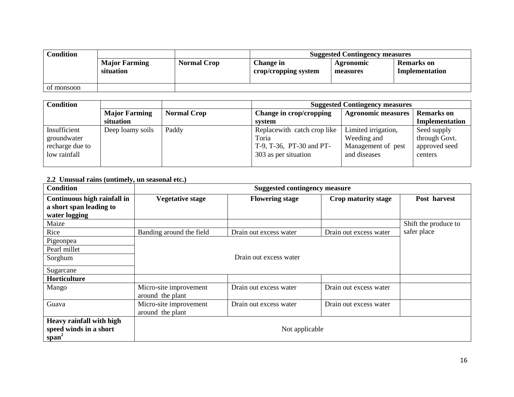| <b>Condition</b> |                                   |                    | <b>Suggested Contingency measures</b> |                       |                                     |  |
|------------------|-----------------------------------|--------------------|---------------------------------------|-----------------------|-------------------------------------|--|
|                  | <b>Major Farming</b><br>situation | <b>Normal Crop</b> | Change in<br>crop/cropping system     | Agronomic<br>measures | <b>Remarks</b> on<br>Implementation |  |
| of monsoon       |                                   |                    |                                       |                       |                                     |  |

| <b>Condition</b> |                      |                    | <b>Suggested Contingency measures</b> |                           |                   |  |
|------------------|----------------------|--------------------|---------------------------------------|---------------------------|-------------------|--|
|                  | <b>Major Farming</b> | <b>Normal Crop</b> | Change in crop/cropping               | <b>Agronomic measures</b> | <b>Remarks</b> on |  |
|                  | situation            |                    | svstem                                |                           | Implementation    |  |
| Insufficient     | Deep loamy soils     | Paddy              | Replace with catch crop like          | Limited irrigation,       | Seed supply       |  |
| groundwater      |                      |                    | Toria                                 | Weeding and               | through Govt.     |  |
| recharge due to  |                      |                    | T-9, T-36, PT-30 and PT-              | Management of pest        | approved seed     |  |
| low rainfall     |                      |                    | 303 as per situation                  | and diseases              | centers           |  |
|                  |                      |                    |                                       |                           |                   |  |

## **2.2 Unusual rains (untimely, un seasonal etc.)**

| <b>Condition</b>            |                          | <b>Suggested contingency measure</b> |                        |                      |  |  |
|-----------------------------|--------------------------|--------------------------------------|------------------------|----------------------|--|--|
| Continuous high rainfall in | <b>Vegetative stage</b>  | <b>Flowering stage</b>               | Crop maturity stage    | Post harvest         |  |  |
| a short span leading to     |                          |                                      |                        |                      |  |  |
| water logging               |                          |                                      |                        |                      |  |  |
| Maize                       |                          |                                      |                        | Shift the produce to |  |  |
| Rice                        | Banding around the field | Drain out excess water               | Drain out excess water | safer place          |  |  |
| Pigeonpea                   |                          |                                      |                        |                      |  |  |
| Pearl millet                |                          |                                      |                        |                      |  |  |
| Sorghum                     |                          | Drain out excess water               |                        |                      |  |  |
| Sugarcane                   |                          |                                      |                        |                      |  |  |
| Horticulture                |                          |                                      |                        |                      |  |  |
| Mango                       | Micro-site improvement   | Drain out excess water               | Drain out excess water |                      |  |  |
|                             | around the plant         |                                      |                        |                      |  |  |
| Guava                       | Micro-site improvement   | Drain out excess water               | Drain out excess water |                      |  |  |
|                             | around the plant         |                                      |                        |                      |  |  |
| Heavy rainfall with high    |                          |                                      |                        |                      |  |  |
| speed winds in a short      | Not applicable           |                                      |                        |                      |  |  |
| $span^2$                    |                          |                                      |                        |                      |  |  |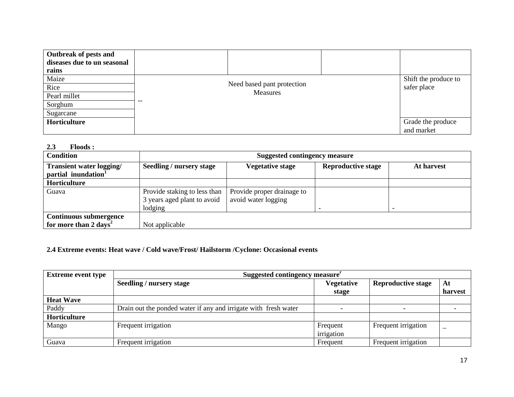| Outbreak of pests and<br>diseases due to un seasonal<br>rains |                            |                      |
|---------------------------------------------------------------|----------------------------|----------------------|
| Maize                                                         |                            | Shift the produce to |
| Rice                                                          | Need based pant protection | safer place          |
| Pearl millet                                                  | Measures                   |                      |
| Sorghum                                                       | --                         |                      |
| Sugarcane                                                     |                            |                      |
| Horticulture                                                  |                            | Grade the produce    |
|                                                               |                            | and market           |

### **2.3 Floods :**

| <b>Condition</b>                                                   |                                                                        | <b>Suggested contingency measure</b>              |                           |            |  |  |
|--------------------------------------------------------------------|------------------------------------------------------------------------|---------------------------------------------------|---------------------------|------------|--|--|
| Transient water logging/<br>partial inundation <sup>1</sup>        | <b>Seedling / nursery stage</b>                                        | <b>Vegetative stage</b>                           | <b>Reproductive stage</b> | At harvest |  |  |
| Horticulture                                                       |                                                                        |                                                   |                           |            |  |  |
| Guava                                                              | Provide staking to less than<br>3 years aged plant to avoid<br>lodging | Provide proper drainage to<br>avoid water logging |                           |            |  |  |
| <b>Continuous submergence</b><br>for more than 2 days <sup>2</sup> | Not applicable                                                         |                                                   |                           |            |  |  |

# **2.4 Extreme events: Heat wave / Cold wave/Frost/ Hailstorm /Cyclone: Occasional events**

| <b>Extreme event type</b> | Suggested contingency measure <sup>r</sup>                      |                   |                           |         |  |
|---------------------------|-----------------------------------------------------------------|-------------------|---------------------------|---------|--|
|                           | <b>Seedling / nursery stage</b>                                 | <b>Vegetative</b> | <b>Reproductive stage</b> | At      |  |
|                           |                                                                 | stage             |                           | harvest |  |
| <b>Heat Wave</b>          |                                                                 |                   |                           |         |  |
| Paddy                     | Drain out the ponded water if any and irrigate with fresh water |                   |                           |         |  |
| Horticulture              |                                                                 |                   |                           |         |  |
| Mango                     | Frequent irrigation                                             | Frequent          | Frequent irrigation       |         |  |
|                           |                                                                 | irrigation        |                           |         |  |
| Guava                     | Frequent irrigation                                             | Frequent          | Frequent irrigation       |         |  |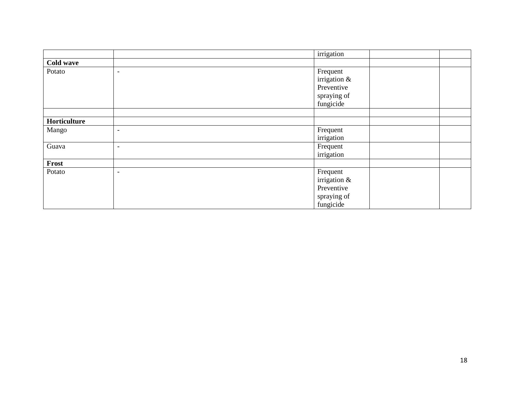|              |                          | irrigation     |  |
|--------------|--------------------------|----------------|--|
| Cold wave    |                          |                |  |
| Potato       | $\overline{\phantom{a}}$ | Frequent       |  |
|              |                          | irrigation $&$ |  |
|              |                          | Preventive     |  |
|              |                          | spraying of    |  |
|              |                          | fungicide      |  |
|              |                          |                |  |
| Horticulture |                          |                |  |
| Mango        | $\overline{\phantom{a}}$ | Frequent       |  |
|              |                          | irrigation     |  |
| Guava        | $\overline{\phantom{0}}$ | Frequent       |  |
|              |                          | irrigation     |  |
| Frost        |                          |                |  |
| Potato       | $\overline{\phantom{a}}$ | Frequent       |  |
|              |                          | irrigation &   |  |
|              |                          | Preventive     |  |
|              |                          | spraying of    |  |
|              |                          | fungicide      |  |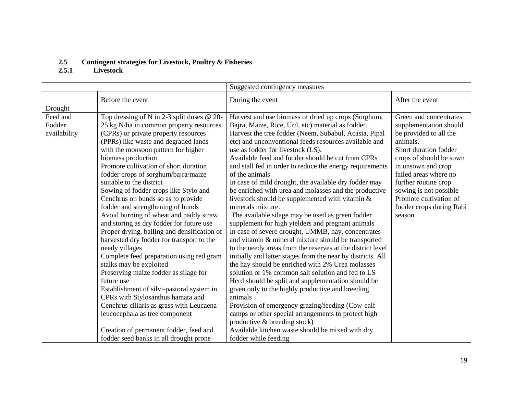#### **2.5 Contingent strategies for Livestock, Poultry & Fisheries**

#### **2.5.1 Livestock**

| Suggested contingency measures |                                             |                                                             |                          |
|--------------------------------|---------------------------------------------|-------------------------------------------------------------|--------------------------|
|                                | Before the event                            | During the event                                            | After the event          |
| Drought                        |                                             |                                                             |                          |
| Feed and                       | Top dressing of N in 2-3 split doses @ 20-  | Harvest and use biomass of dried up crops (Sorghum,         | Green and concentrates   |
| Fodder                         | 25 kg N/ha in common property resources     | Bajra, Maize, Rice, Urd, etc) material as fodder.           | supplementation should   |
| availability                   | (CPRs) or private property resources        | Harvest the tree fodder (Neem, Subabul, Acasia, Pipal       | be provided to all the   |
|                                | (PPRs) like waste and degraded lands        | etc) and unconventional feeds resources available and       | animals.                 |
|                                | with the monsoon pattern for higher         | use as fodder for livestock (LS).                           | Short duration fodder    |
|                                | biomass production                          | Available feed and fodder should be cut from CPRs           | crops of should be sown  |
|                                | Promote cultivation of short duration       | and stall fed in order to reduce the energy requirements    | in unsown and crop       |
|                                | fodder crops of sorghum/bajra/maize         | of the animals                                              | failed areas where no    |
|                                | suitable to the district                    | In case of mild drought, the available dry fodder may       | further routine crop     |
|                                | Sowing of fodder crops like Stylo and       | be enriched with urea and molasses and the productive       | sowing is not possible   |
|                                | Cenchrus on bunds so as to provide          | livestock should be supplemented with vitamin $\&$          | Promote cultivation of   |
|                                | fodder and strengthening of bunds           | minerals mixture.                                           | fodder crops during Rabi |
|                                | Avoid burning of wheat and paddy straw      | The available silage may be used as green fodder            | season                   |
|                                | and storing as dry fodder for future use    | supplement for high yielders and pregnant animals           |                          |
|                                | Proper drying, bailing and densification of | In case of severe drought, UMMB, hay, concentrates          |                          |
|                                | harvested dry fodder for transport to the   | and vitamin & mineral mixture should be transported         |                          |
|                                | needy villages                              | to the needy areas from the reserves at the district level  |                          |
|                                | Complete feed preparation using red gram    | initially and latter stages from the near by districts. All |                          |
|                                | stalks may be exploited                     | the hay should be enriched with 2% Urea molasses            |                          |
|                                | Preserving maize fodder as silage for       | solution or 1% common salt solution and fed to LS           |                          |
|                                | future use                                  | Herd should be split and supplementation should be          |                          |
|                                | Establishment of silvi-pastoral system in   | given only to the highly productive and breeding            |                          |
|                                | CPRs with Stylosanthus hamata and           | animals                                                     |                          |
|                                | Cenchrus ciliaris as grass with Leucaena    | Provision of emergency grazing/feeding (Cow-calf            |                          |
|                                | leucocephala as tree component              | camps or other special arrangements to protect high         |                          |
|                                |                                             | productive & breeding stock)                                |                          |
|                                | Creation of permanent fodder, feed and      | Available kitchen waste should be mixed with dry            |                          |
|                                | fodder seed banks in all drought prone      | fodder while feeding                                        |                          |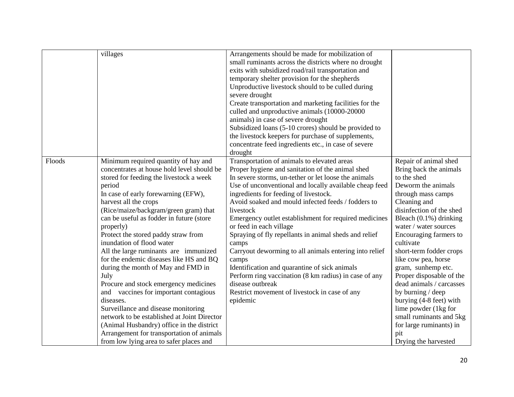|        | villages                                    | Arrangements should be made for mobilization of        |                          |
|--------|---------------------------------------------|--------------------------------------------------------|--------------------------|
|        |                                             | small ruminants across the districts where no drought  |                          |
|        |                                             | exits with subsidized road/rail transportation and     |                          |
|        |                                             | temporary shelter provision for the shepherds          |                          |
|        |                                             | Unproductive livestock should to be culled during      |                          |
|        |                                             | severe drought                                         |                          |
|        |                                             | Create transportation and marketing facilities for the |                          |
|        |                                             | culled and unproductive animals (10000-20000           |                          |
|        |                                             | animals) in case of severe drought                     |                          |
|        |                                             | Subsidized loans (5-10 crores) should be provided to   |                          |
|        |                                             | the livestock keepers for purchase of supplements,     |                          |
|        |                                             | concentrate feed ingredients etc., in case of severe   |                          |
|        |                                             | drought                                                |                          |
| Floods | Minimum required quantity of hay and        | Transportation of animals to elevated areas            | Repair of animal shed    |
|        | concentrates at house hold level should be  | Proper hygiene and sanitation of the animal shed       | Bring back the animals   |
|        | stored for feeding the livestock a week     | In severe storms, un-tether or let loose the animals   | to the shed              |
|        | period                                      | Use of unconventional and locally available cheap feed | Deworm the animals       |
|        | In case of early forewarning (EFW),         | ingredients for feeding of livestock.                  | through mass camps       |
|        | harvest all the crops                       | Avoid soaked and mould infected feeds / fodders to     | Cleaning and             |
|        | (Rice/maize/backgram/green gram) that       | livestock                                              | disinfection of the shed |
|        | can be useful as fodder in future (store    | Emergency outlet establishment for required medicines  | Bleach (0.1%) drinking   |
|        | properly)                                   | or feed in each village                                | water / water sources    |
|        | Protect the stored paddy straw from         | Spraying of fly repellants in animal sheds and relief  | Encouraging farmers to   |
|        | inundation of flood water                   | camps                                                  | cultivate                |
|        | All the large ruminants are immunized       | Carryout deworming to all animals entering into relief | short-term fodder crops  |
|        | for the endemic diseases like HS and BQ     | camps                                                  | like cow pea, horse      |
|        | during the month of May and FMD in          | Identification and quarantine of sick animals          | gram, sunhemp etc.       |
|        | July                                        | Perform ring vaccination (8 km radius) in case of any  | Proper disposable of the |
|        | Procure and stock emergency medicines       | disease outbreak                                       | dead animals / carcasses |
|        | and vaccines for important contagious       | Restrict movement of livestock in case of any          | by burning / deep        |
|        | diseases.                                   | epidemic                                               | burying (4-8 feet) with  |
|        | Surveillance and disease monitoring         |                                                        | lime powder (1kg for     |
|        | network to be established at Joint Director |                                                        | small ruminants and 5kg  |
|        | (Animal Husbandry) office in the district   |                                                        | for large ruminants) in  |
|        | Arrangement for transportation of animals   |                                                        | pit                      |
|        | from low lying area to safer places and     |                                                        | Drying the harvested     |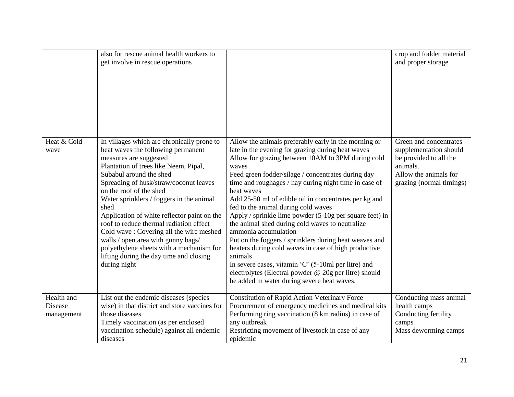|                                     | also for rescue animal health workers to<br>get involve in rescue operations                                                                                                                                                                                                                                                                                                                                                                                                                                                                                                              |                                                                                                                                                                                                                                                                                                                                                                                                                                                                                                                                                                                                                                                                                                                                                                                                                                                            | crop and fodder material<br>and proper storage                                                                                              |
|-------------------------------------|-------------------------------------------------------------------------------------------------------------------------------------------------------------------------------------------------------------------------------------------------------------------------------------------------------------------------------------------------------------------------------------------------------------------------------------------------------------------------------------------------------------------------------------------------------------------------------------------|------------------------------------------------------------------------------------------------------------------------------------------------------------------------------------------------------------------------------------------------------------------------------------------------------------------------------------------------------------------------------------------------------------------------------------------------------------------------------------------------------------------------------------------------------------------------------------------------------------------------------------------------------------------------------------------------------------------------------------------------------------------------------------------------------------------------------------------------------------|---------------------------------------------------------------------------------------------------------------------------------------------|
| Heat & Cold<br>wave                 | In villages which are chronically prone to<br>heat waves the following permanent<br>measures are suggested<br>Plantation of trees like Neem, Pipal,<br>Subabul around the shed<br>Spreading of husk/straw/coconut leaves<br>on the roof of the shed<br>Water sprinklers / foggers in the animal<br>shed<br>Application of white reflector paint on the<br>roof to reduce thermal radiation effect<br>Cold wave: Covering all the wire meshed<br>walls / open area with gunny bags/<br>polyethylene sheets with a mechanism for<br>lifting during the day time and closing<br>during night | Allow the animals preferably early in the morning or<br>late in the evening for grazing during heat waves<br>Allow for grazing between 10AM to 3PM during cold<br>waves<br>Feed green fodder/silage / concentrates during day<br>time and roughages / hay during night time in case of<br>heat waves<br>Add 25-50 ml of edible oil in concentrates per kg and<br>fed to the animal during cold waves<br>Apply / sprinkle lime powder (5-10g per square feet) in<br>the animal shed during cold waves to neutralize<br>ammonia accumulation<br>Put on the foggers / sprinklers during heat weaves and<br>heaters during cold waves in case of high productive<br>animals<br>In severe cases, vitamin $^{\circ}$ C $^{\circ}$ (5-10ml per litre) and<br>electrolytes (Electral powder @ 20g per litre) should<br>be added in water during severe heat waves. | Green and concentrates<br>supplementation should<br>be provided to all the<br>animals.<br>Allow the animals for<br>grazing (normal timings) |
| Health and<br>Disease<br>management | List out the endemic diseases (species<br>wise) in that district and store vaccines for<br>those diseases<br>Timely vaccination (as per enclosed<br>vaccination schedule) against all endemic                                                                                                                                                                                                                                                                                                                                                                                             | Constitution of Rapid Action Veterinary Force<br>Procurement of emergency medicines and medical kits<br>Performing ring vaccination (8 km radius) in case of<br>any outbreak<br>Restricting movement of livestock in case of any                                                                                                                                                                                                                                                                                                                                                                                                                                                                                                                                                                                                                           | Conducting mass animal<br>health camps<br>Conducting fertility<br>camps<br>Mass deworming camps                                             |
|                                     | diseases                                                                                                                                                                                                                                                                                                                                                                                                                                                                                                                                                                                  | epidemic                                                                                                                                                                                                                                                                                                                                                                                                                                                                                                                                                                                                                                                                                                                                                                                                                                                   |                                                                                                                                             |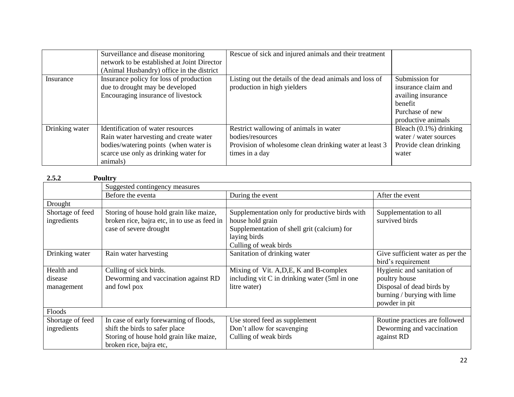|                | Surveillance and disease monitoring<br>network to be established at Joint Director<br>(Animal Husbandry) office in the district                                           | Rescue of sick and injured animals and their treatment                                                                                 |                                                                                                                 |
|----------------|---------------------------------------------------------------------------------------------------------------------------------------------------------------------------|----------------------------------------------------------------------------------------------------------------------------------------|-----------------------------------------------------------------------------------------------------------------|
| Insurance      | Insurance policy for loss of production<br>due to drought may be developed<br>Encouraging insurance of livestock                                                          | Listing out the details of the dead animals and loss of<br>production in high yielders                                                 | Submission for<br>insurance claim and<br>availing insurance<br>benefit<br>Purchase of new<br>productive animals |
| Drinking water | Identification of water resources<br>Rain water harvesting and create water<br>bodies/watering points (when water is<br>scarce use only as drinking water for<br>animals) | Restrict wallowing of animals in water<br>bodies/resources<br>Provision of wholesome clean drinking water at least 3<br>times in a day | Bleach $(0.1\%)$ drinking<br>water / water sources<br>Provide clean drinking<br>water                           |

| 2.5.2<br><b>Poultry</b> |                                              |                                                |                                  |
|-------------------------|----------------------------------------------|------------------------------------------------|----------------------------------|
|                         | Suggested contingency measures               |                                                |                                  |
|                         | Before the eventa                            | During the event                               | After the event                  |
| Drought                 |                                              |                                                |                                  |
| Shortage of feed        | Storing of house hold grain like maize,      | Supplementation only for productive birds with | Supplementation to all           |
| ingredients             | broken rice, bajra etc, in to use as feed in | house hold grain                               | survived birds                   |
|                         | case of severe drought                       | Supplementation of shell grit (calcium) for    |                                  |
|                         |                                              | laying birds                                   |                                  |
|                         |                                              | Culling of weak birds                          |                                  |
| Drinking water          | Rain water harvesting                        | Sanitation of drinking water                   | Give sufficient water as per the |
|                         |                                              |                                                | bird's requirement               |
| Health and              | Culling of sick birds.                       | Mixing of Vit. A, D, E, K and B-complex        | Hygienic and sanitation of       |
| disease                 | Deworming and vaccination against RD         | including vit C in drinking water (5ml in one  | poultry house                    |
| management              | and fowl pox                                 | litre water)                                   | Disposal of dead birds by        |
|                         |                                              |                                                | burning / burying with lime      |
|                         |                                              |                                                | powder in pit                    |
| Floods                  |                                              |                                                |                                  |
| Shortage of feed        | In case of early forewarning of floods,      | Use stored feed as supplement                  | Routine practices are followed   |
| ingredients             | shift the birds to safer place               | Don't allow for scavenging                     | Deworming and vaccination        |
|                         | Storing of house hold grain like maize,      | Culling of weak birds                          | against RD                       |
|                         | broken rice, bajra etc,                      |                                                |                                  |